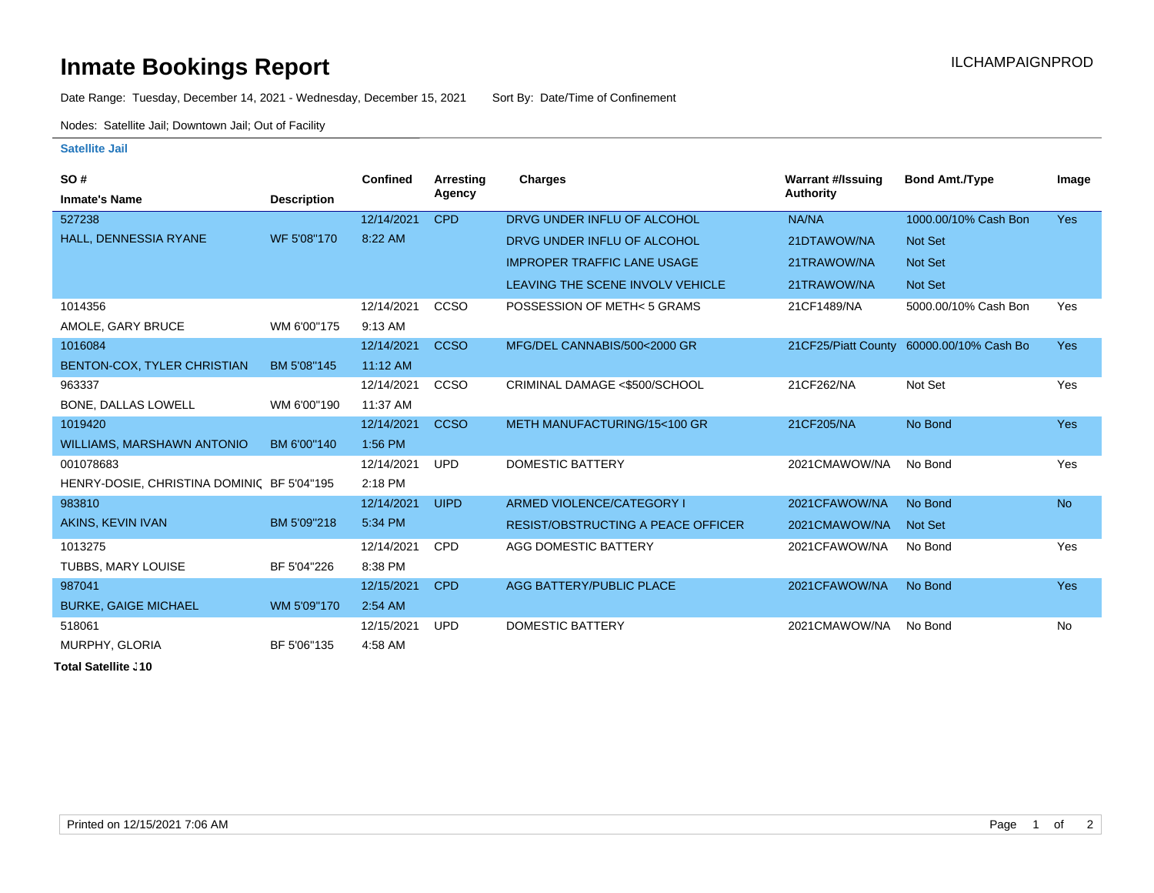## **Inmate Bookings Report Installation ILCHAMPAIGNPROD**

Date Range: Tuesday, December 14, 2021 - Wednesday, December 15, 2021 Sort By: Date/Time of Confinement

Nodes: Satellite Jail; Downtown Jail; Out of Facility

## **Satellite Jail**

| <b>SO#</b>                                 |                    | <b>Confined</b> | Arresting   | <b>Charges</b>                            | <b>Warrant #/Issuing</b> | <b>Bond Amt./Type</b>                    | Image      |
|--------------------------------------------|--------------------|-----------------|-------------|-------------------------------------------|--------------------------|------------------------------------------|------------|
| <b>Inmate's Name</b>                       | <b>Description</b> |                 | Agency      |                                           | <b>Authority</b>         |                                          |            |
| 527238                                     |                    | 12/14/2021      | <b>CPD</b>  | DRVG UNDER INFLU OF ALCOHOL               | NA/NA                    | 1000.00/10% Cash Bon                     | <b>Yes</b> |
| HALL, DENNESSIA RYANE                      | WF 5'08"170        | 8:22 AM         |             | DRVG UNDER INFLU OF ALCOHOL               | 21DTAWOW/NA              | Not Set                                  |            |
|                                            |                    |                 |             | <b>IMPROPER TRAFFIC LANE USAGE</b>        | 21TRAWOW/NA              | <b>Not Set</b>                           |            |
|                                            |                    |                 |             | LEAVING THE SCENE INVOLV VEHICLE          | 21TRAWOW/NA              | Not Set                                  |            |
| 1014356                                    |                    | 12/14/2021      | CCSO        | POSSESSION OF METH<5 GRAMS                | 21CF1489/NA              | 5000.00/10% Cash Bon                     | Yes        |
| AMOLE, GARY BRUCE                          | WM 6'00"175        | 9:13 AM         |             |                                           |                          |                                          |            |
| 1016084                                    |                    | 12/14/2021      | <b>CCSO</b> | MFG/DEL CANNABIS/500<2000 GR              |                          | 21CF25/Piatt County 60000.00/10% Cash Bo | <b>Yes</b> |
| BENTON-COX, TYLER CHRISTIAN                | BM 5'08"145        | $11:12$ AM      |             |                                           |                          |                                          |            |
| 963337                                     |                    | 12/14/2021      | CCSO        | CRIMINAL DAMAGE <\$500/SCHOOL             | 21CF262/NA               | Not Set                                  | Yes        |
| BONE, DALLAS LOWELL                        | WM 6'00"190        | 11:37 AM        |             |                                           |                          |                                          |            |
| 1019420                                    |                    | 12/14/2021      | <b>CCSO</b> | METH MANUFACTURING/15<100 GR              | 21CF205/NA               | No Bond                                  | <b>Yes</b> |
| <b>WILLIAMS, MARSHAWN ANTONIO</b>          | BM 6'00"140        | 1:56 PM         |             |                                           |                          |                                          |            |
| 001078683                                  |                    | 12/14/2021      | <b>UPD</b>  | DOMESTIC BATTERY                          | 2021CMAWOW/NA            | No Bond                                  | Yes        |
| HENRY-DOSIE, CHRISTINA DOMINIC BF 5'04"195 |                    | 2:18 PM         |             |                                           |                          |                                          |            |
| 983810                                     |                    | 12/14/2021      | <b>UIPD</b> | ARMED VIOLENCE/CATEGORY I                 | 2021CFAWOW/NA            | No Bond                                  | <b>No</b>  |
| AKINS, KEVIN IVAN                          | BM 5'09"218        | 5:34 PM         |             | <b>RESIST/OBSTRUCTING A PEACE OFFICER</b> | 2021CMAWOW/NA            | Not Set                                  |            |
| 1013275                                    |                    | 12/14/2021      | <b>CPD</b>  | AGG DOMESTIC BATTERY                      | 2021CFAWOW/NA            | No Bond                                  | Yes        |
| TUBBS, MARY LOUISE                         | BF 5'04"226        | 8:38 PM         |             |                                           |                          |                                          |            |
| 987041                                     |                    | 12/15/2021      | <b>CPD</b>  | AGG BATTERY/PUBLIC PLACE                  | 2021CFAWOW/NA            | No Bond                                  | <b>Yes</b> |
| <b>BURKE, GAIGE MICHAEL</b>                | WM 5'09"170        | 2:54 AM         |             |                                           |                          |                                          |            |
| 518061                                     |                    | 12/15/2021      | <b>UPD</b>  | <b>DOMESTIC BATTERY</b>                   | 2021CMAWOW/NA            | No Bond                                  | No         |
| MURPHY, GLORIA                             | BF 5'06"135        | 4:58 AM         |             |                                           |                          |                                          |            |

**Total Satellite J10**